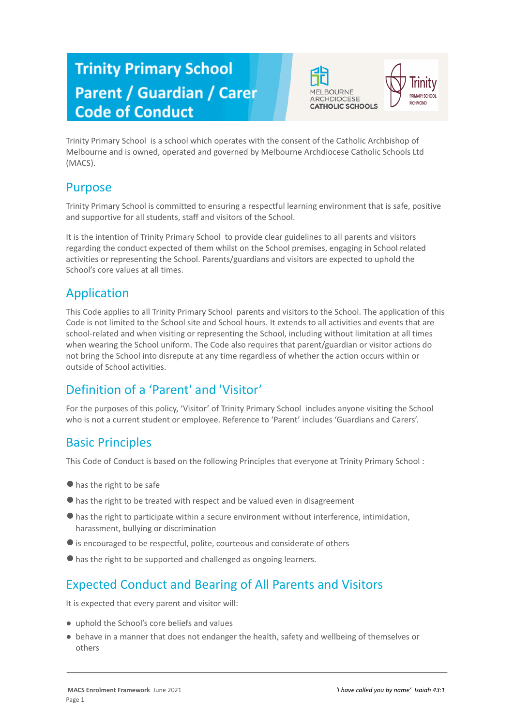# **Trinity Primary School Parent / Guardian / Carer Code of Conduct**





Trinity Primary School is a school which operates with the consent of the Catholic Archbishop of Melbourne and is owned, operated and governed by Melbourne Archdiocese Catholic Schools Ltd (MACS).

#### Purpose

Trinity Primary School is committed to ensuring a respectful learning environment that is safe, positive and supportive for all students, staff and visitors of the School.

It is the intention of Trinity Primary School to provide clear guidelines to all parents and visitors regarding the conduct expected of them whilst on the School premises, engaging in School related activities or representing the School. Parents/guardians and visitors are expected to uphold the School's core values at all times.

#### Application

This Code applies to all Trinity Primary School parents and visitors to the School. The application of this Code is not limited to the School site and School hours. It extends to all activities and events that are school-related and when visiting or representing the School, including without limitation at all times when wearing the School uniform. The Code also requires that parent/guardian or visitor actions do not bring the School into disrepute at any time regardless of whether the action occurs within or outside of School activities.

### Definition of a 'Parent' and 'Visitor'

For the purposes of this policy, 'Visitor' of Trinity Primary School includes anyone visiting the School who is not a current student or employee. Reference to 'Parent' includes 'Guardians and Carers'.

### Basic Principles

This Code of Conduct is based on the following Principles that everyone at Trinity Primary School :

- ●has the right to be safe
- ●has the right to be treated with respect and be valued even in disagreement
- ●has the right to participate within a secure environment without interference, intimidation, harassment, bullying or discrimination
- ●is encouraged to be respectful, polite, courteous and considerate of others
- ●has the right to be supported and challenged as ongoing learners.

### Expected Conduct and Bearing of All Parents and Visitors

It is expected that every parent and visitor will:

- uphold the School's core beliefs and values
- behave in a manner that does not endanger the health, safety and wellbeing of themselves or others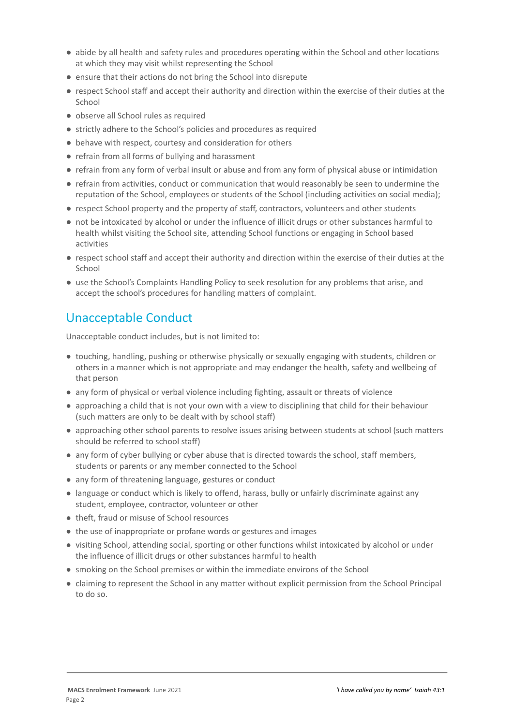- abide by all health and safety rules and procedures operating within the School and other locations at which they may visit whilst representing the School
- ensure that their actions do not bring the School into disrepute
- respect School staff and accept their authority and direction within the exercise of their duties at the School
- observe all School rules as required
- strictly adhere to the School's policies and procedures as required
- behave with respect, courtesy and consideration for others
- refrain from all forms of bullying and harassment
- refrain from any form of verbal insult or abuse and from any form of physical abuse or intimidation
- refrain from activities, conduct or communication that would reasonably be seen to undermine the reputation of the School, employees or students of the School (including activities on social media);
- respect School property and the property of staff, contractors, volunteers and other students
- not be intoxicated by alcohol or under the influence of illicit drugs or other substances harmful to health whilst visiting the School site, attending School functions or engaging in School based activities
- respect school staff and accept their authority and direction within the exercise of their duties at the School
- use the School's Complaints Handling Policy to seek resolution for any problems that arise, and accept the school's procedures for handling matters of complaint.

# Unacceptable Conduct

Unacceptable conduct includes, but is not limited to:

- touching, handling, pushing or otherwise physically or sexually engaging with students, children or others in a manner which is not appropriate and may endanger the health, safety and wellbeing of that person
- any form of physical or verbal violence including fighting, assault or threats of violence
- approaching a child that is not your own with a view to disciplining that child for their behaviour (such matters are only to be dealt with by school staff)
- approaching other school parents to resolve issues arising between students at school (such matters should be referred to school staff)
- any form of cyber bullying or cyber abuse that is directed towards the school, staff members, students or parents or any member connected to the School
- any form of threatening language, gestures or conduct
- language or conduct which is likely to offend, harass, bully or unfairly discriminate against any student, employee, contractor, volunteer or other
- theft, fraud or misuse of School resources
- the use of inappropriate or profane words or gestures and images
- visiting School, attending social, sporting or other functions whilst intoxicated by alcohol or under the influence of illicit drugs or other substances harmful to health
- smoking on the School premises or within the immediate environs of the School
- claiming to represent the School in any matter without explicit permission from the School Principal to do so.